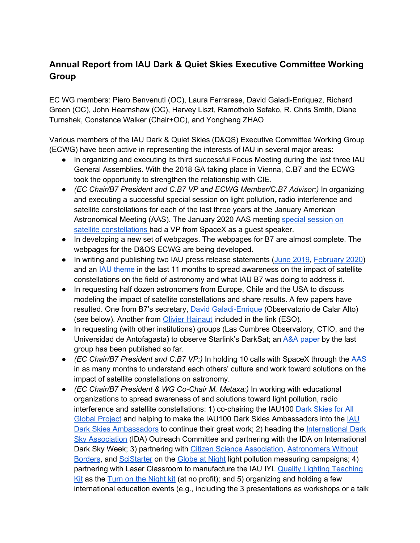## **Annual Report from IAU Dark & Quiet Skies Executive Committee Working Group**

EC WG members: Piero Benvenuti (OC), Laura Ferrarese, David Galadi-Enriquez, Richard Green (OC), John Hearnshaw (OC), Harvey Liszt, Ramotholo Sefako, R. Chris Smith, Diane Turnshek, Constance Walker (Chair+OC), and Yongheng ZHAO

Various members of the IAU Dark & Quiet Skies (D&QS) Executive Committee Working Group (ECWG) have been active in representing the interests of IAU in several major areas:

- In organizing and executing its third successful Focus Meeting during the last three IAU General Assemblies. With the 2018 GA taking place in Vienna, C.B7 and the ECWG took the opportunity to strengthen the relationship with CIE.
- *(EC Chair/B7 President and C.B7 VP and ECWG Member/C.B7 Advisor:)* In organizing and executing a successful special session on light pollution, radio interference and satellite constellations for each of the last three years at the January American Astronomical Meeting (AAS). The January 2020 AAS meeting special session on satellite constellations had a VP from SpaceX as a guest speaker.
- In developing a new set of webpages. The webpages for B7 are almost complete. The webpages for the D&QS ECWG are being developed.
- In writing and publishing two IAU press release statements (June 2019, February 2020) and an IAU theme in the last 11 months to spread awareness on the impact of satellite constellations on the field of astronomy and what IAU B7 was doing to address it.
- In requesting half dozen astronomers from Europe, Chile and the USA to discuss modeling the impact of satellite constellations and share results. A few papers have resulted. One from B7's secretary, David Galadi-Enrique (Observatorio de Calar Alto) (see below). Another from Olivier Hainaut included in the link (ESO).
- In requesting (with other institutions) groups (Las Cumbres Observatory, CTIO, and the Universidad de Antofagasta) to observe Starlink's DarkSat; an A&A paper by the last group has been published so far.
- *(EC Chair/B7 President and C.B7 VP:)* In holding 10 calls with SpaceX through the AAS in as many months to understand each others' culture and work toward solutions on the impact of satellite constellations on astronomy.
- *(EC Chair/B7 President & WG Co-Chair M. Metaxa:)* In working with educational organizations to spread awareness of and solutions toward light pollution, radio interference and satellite constellations: 1) co-chairing the IAU100 Dark Skies for All Global Project and helping to make the IAU100 Dark Skies Ambassadors into the IAU Dark Skies Ambassadors to continue their great work; 2) heading the International Dark Sky Association (IDA) Outreach Committee and partnering with the IDA on International Dark Sky Week; 3) partnering with Citizen Science Association, Astronomers Without Borders, and SciStarter on the Globe at Night light pollution measuring campaigns; 4) partnering with Laser Classroom to manufacture the IAU IYL Quality Lighting Teaching Kit as the Turn on the Night kit (at no profit); and 5) organizing and holding a few international education events (e.g., including the 3 presentations as workshops or a talk